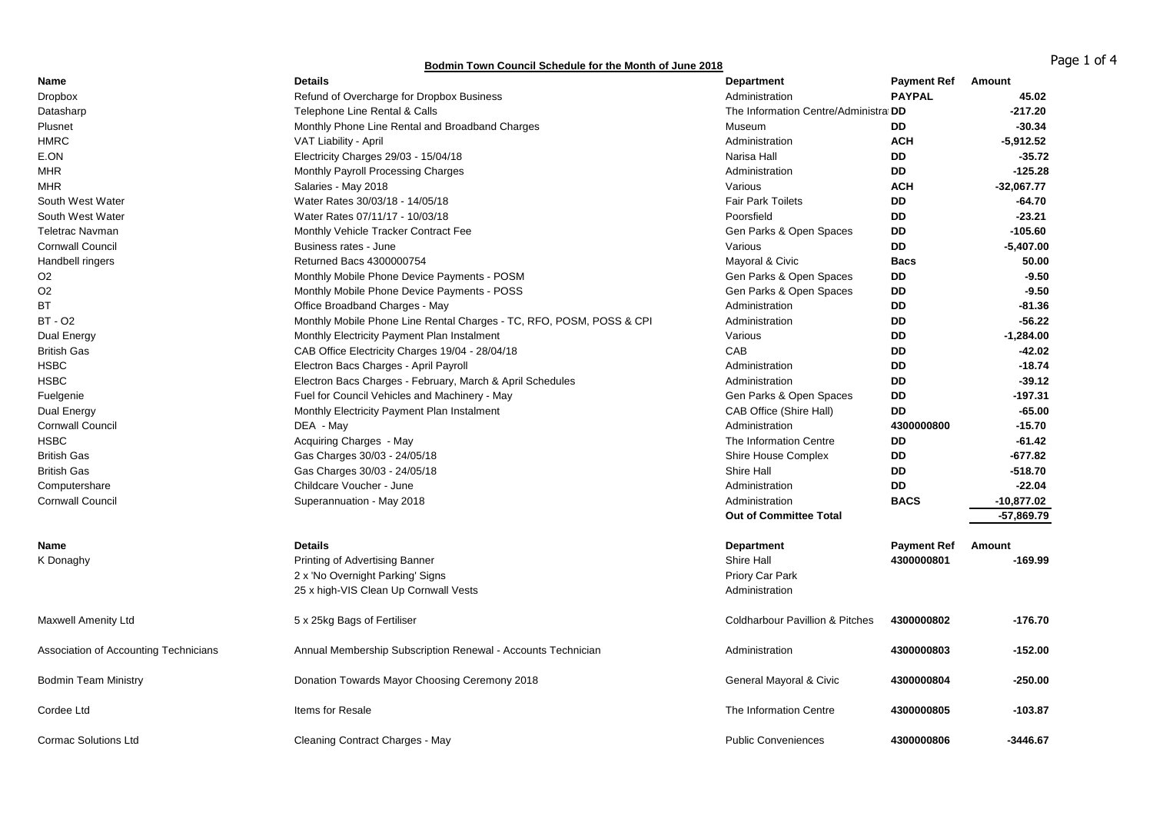## **Bodmin Town Council Schedule for the Month of June 2018 Bodmin Town Council Schedule for the Month of June 2018**

| Name                                  | <b>Details</b>                                                       | <b>Department</b>                          | <b>Payment Ref</b> | Amount       |
|---------------------------------------|----------------------------------------------------------------------|--------------------------------------------|--------------------|--------------|
| <b>Dropbox</b>                        | Refund of Overcharge for Dropbox Business                            | Administration                             | <b>PAYPAL</b>      | 45.02        |
| Datasharp                             | Telephone Line Rental & Calls                                        | The Information Centre/Administra DD       |                    | $-217.20$    |
| Plusnet                               | Monthly Phone Line Rental and Broadband Charges                      | Museum                                     | <b>DD</b>          | $-30.34$     |
| <b>HMRC</b>                           | VAT Liability - April                                                | Administration                             | <b>ACH</b>         | $-5,912.52$  |
| E.ON                                  | Electricity Charges 29/03 - 15/04/18                                 | Narisa Hall                                | <b>DD</b>          | $-35.72$     |
| MHR                                   | Monthly Payroll Processing Charges                                   | Administration                             | DD                 | $-125.28$    |
| <b>MHR</b>                            | Salaries - May 2018                                                  | Various                                    | <b>ACH</b>         | $-32,067.77$ |
| South West Water                      | Water Rates 30/03/18 - 14/05/18                                      | <b>Fair Park Toilets</b>                   | <b>DD</b>          | -64.70       |
| South West Water                      | Water Rates 07/11/17 - 10/03/18                                      | Poorsfield                                 | DD                 | $-23.21$     |
| <b>Teletrac Navman</b>                | Monthly Vehicle Tracker Contract Fee                                 | Gen Parks & Open Spaces                    | DD                 | $-105.60$    |
| <b>Cornwall Council</b>               | Business rates - June                                                | Various                                    | <b>DD</b>          | $-5,407.00$  |
| Handbell ringers                      | Returned Bacs 4300000754                                             | Mayoral & Civic                            | <b>Bacs</b>        | 50.00        |
| O <sub>2</sub>                        | Monthly Mobile Phone Device Payments - POSM                          | Gen Parks & Open Spaces                    | DD                 | $-9.50$      |
| O <sub>2</sub>                        | Monthly Mobile Phone Device Payments - POSS                          | Gen Parks & Open Spaces                    | <b>DD</b>          | $-9.50$      |
| ВT                                    | Office Broadband Charges - May                                       | Administration                             | <b>DD</b>          | -81.36       |
| <b>BT - O2</b>                        | Monthly Mobile Phone Line Rental Charges - TC, RFO, POSM, POSS & CPI | Administration                             | DD                 | -56.22       |
| Dual Energy                           | Monthly Electricity Payment Plan Instalment                          | Various                                    | <b>DD</b>          | $-1,284.00$  |
| <b>British Gas</b>                    | CAB Office Electricity Charges 19/04 - 28/04/18                      | CAB                                        | <b>DD</b>          | $-42.02$     |
| <b>HSBC</b>                           | Electron Bacs Charges - April Payroll                                | Administration                             | DD                 | $-18.74$     |
| <b>HSBC</b>                           | Electron Bacs Charges - February, March & April Schedules            | Administration                             | <b>DD</b>          | $-39.12$     |
| Fuelgenie                             | Fuel for Council Vehicles and Machinery - May                        | Gen Parks & Open Spaces                    | DD                 | $-197.31$    |
| Dual Energy                           | Monthly Electricity Payment Plan Instalment                          | CAB Office (Shire Hall)                    | <b>DD</b>          | $-65.00$     |
| <b>Cornwall Council</b>               | DEA - May                                                            | Administration                             | 4300000800         | $-15.70$     |
| <b>HSBC</b>                           | Acquiring Charges - May                                              | The Information Centre                     | <b>DD</b>          | $-61.42$     |
| <b>British Gas</b>                    | Gas Charges 30/03 - 24/05/18                                         | Shire House Complex                        | <b>DD</b>          | $-677.82$    |
| <b>British Gas</b>                    | Gas Charges 30/03 - 24/05/18                                         | Shire Hall                                 | <b>DD</b>          | -518.70      |
| Computershare                         | Childcare Voucher - June                                             | Administration                             | DD                 | $-22.04$     |
| <b>Cornwall Council</b>               | Superannuation - May 2018                                            | Administration                             | <b>BACS</b>        | $-10,877.02$ |
|                                       |                                                                      | <b>Out of Committee Total</b>              |                    | $-57,869.79$ |
|                                       |                                                                      |                                            |                    |              |
| Name                                  | <b>Details</b>                                                       | <b>Department</b>                          | <b>Payment Ref</b> | Amount       |
| K Donaghy                             | Printing of Advertising Banner                                       | Shire Hall                                 | 4300000801         | -169.99      |
|                                       | 2 x 'No Overnight Parking' Signs                                     | Priory Car Park                            |                    |              |
|                                       | 25 x high-VIS Clean Up Cornwall Vests                                | Administration                             |                    |              |
| <b>Maxwell Amenity Ltd</b>            | 5 x 25kg Bags of Fertiliser                                          | <b>Coldharbour Pavillion &amp; Pitches</b> | 4300000802         | -176.70      |
| Association of Accounting Technicians | Annual Membership Subscription Renewal - Accounts Technician         | Administration                             | 4300000803         | $-152.00$    |
| <b>Bodmin Team Ministry</b>           | Donation Towards Mayor Choosing Ceremony 2018                        | General Mayoral & Civic                    | 4300000804         | $-250.00$    |
| Cordee Ltd                            | Items for Resale                                                     | The Information Centre                     | 4300000805         | -103.87      |
| <b>Cormac Solutions Ltd</b>           | Cleaning Contract Charges - May                                      | <b>Public Conveniences</b>                 | 4300000806         | $-3446.67$   |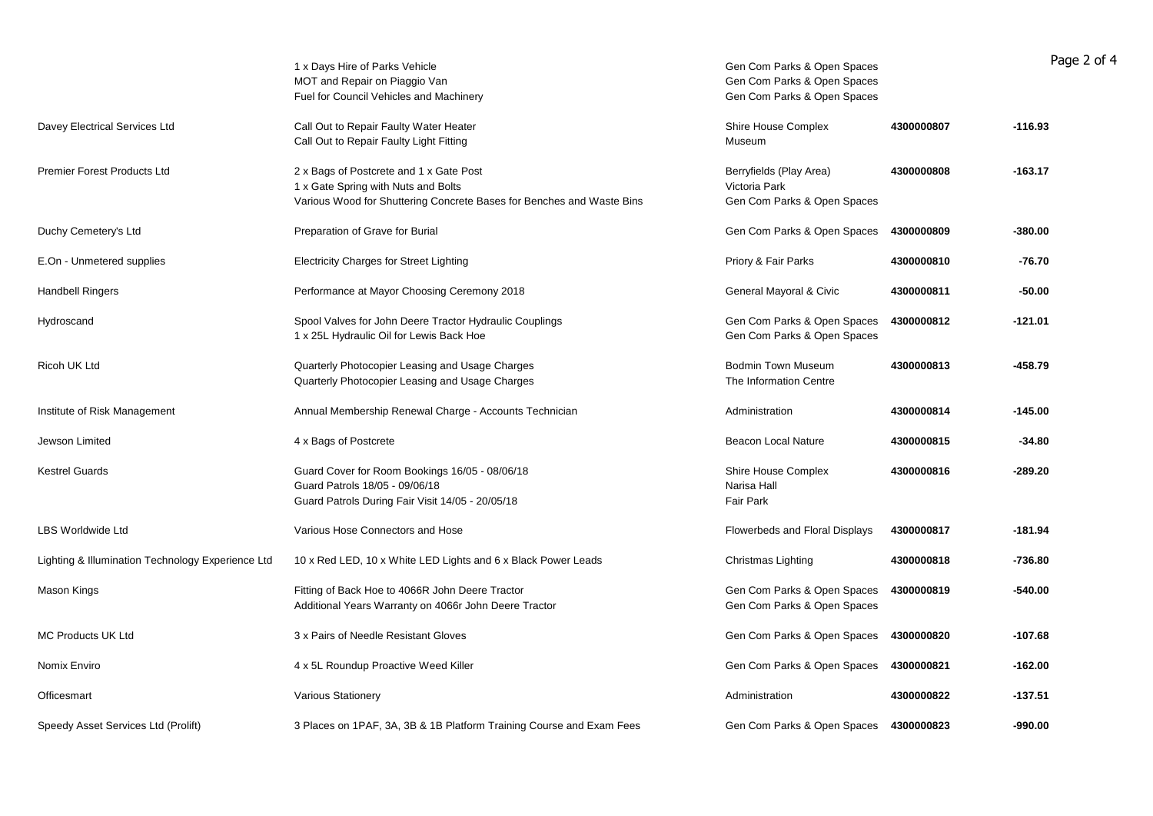|                                                   | 1 x Days Hire of Parks Vehicle<br>MOT and Repair on Piaggio Van<br>Fuel for Council Vehicles and Machinery                                              | Gen Com Parks & Open Spaces<br>Gen Com Parks & Open Spaces<br>Gen Com Parks & Open Spaces |            | Page 2 of 4 |
|---------------------------------------------------|---------------------------------------------------------------------------------------------------------------------------------------------------------|-------------------------------------------------------------------------------------------|------------|-------------|
| Davey Electrical Services Ltd                     | Call Out to Repair Faulty Water Heater<br>Call Out to Repair Faulty Light Fitting                                                                       | Shire House Complex<br>Museum                                                             | 4300000807 | $-116.93$   |
| Premier Forest Products Ltd                       | 2 x Bags of Postcrete and 1 x Gate Post<br>1 x Gate Spring with Nuts and Bolts<br>Various Wood for Shuttering Concrete Bases for Benches and Waste Bins | Berryfields (Play Area)<br>Victoria Park<br>Gen Com Parks & Open Spaces                   | 4300000808 | $-163.17$   |
| Duchy Cemetery's Ltd                              | Preparation of Grave for Burial                                                                                                                         | Gen Com Parks & Open Spaces                                                               | 4300000809 | $-380.00$   |
| E.On - Unmetered supplies                         | <b>Electricity Charges for Street Lighting</b>                                                                                                          | Priory & Fair Parks                                                                       | 4300000810 | $-76.70$    |
| <b>Handbell Ringers</b>                           | Performance at Mayor Choosing Ceremony 2018                                                                                                             | General Mayoral & Civic                                                                   | 4300000811 | $-50.00$    |
| Hydroscand                                        | Spool Valves for John Deere Tractor Hydraulic Couplings<br>1 x 25L Hydraulic Oil for Lewis Back Hoe                                                     | Gen Com Parks & Open Spaces<br>Gen Com Parks & Open Spaces                                | 4300000812 | $-121.01$   |
| Ricoh UK Ltd                                      | Quarterly Photocopier Leasing and Usage Charges<br>Quarterly Photocopier Leasing and Usage Charges                                                      | <b>Bodmin Town Museum</b><br>The Information Centre                                       | 4300000813 | $-458.79$   |
| Institute of Risk Management                      | Annual Membership Renewal Charge - Accounts Technician                                                                                                  | Administration                                                                            | 4300000814 | $-145.00$   |
| Jewson Limited                                    | 4 x Bags of Postcrete                                                                                                                                   | <b>Beacon Local Nature</b>                                                                | 4300000815 | $-34.80$    |
| <b>Kestrel Guards</b>                             | Guard Cover for Room Bookings 16/05 - 08/06/18<br>Guard Patrols 18/05 - 09/06/18<br>Guard Patrols During Fair Visit 14/05 - 20/05/18                    | Shire House Complex<br>Narisa Hall<br><b>Fair Park</b>                                    | 4300000816 | $-289.20$   |
| <b>LBS Worldwide Ltd</b>                          | Various Hose Connectors and Hose                                                                                                                        | Flowerbeds and Floral Displays                                                            | 4300000817 | $-181.94$   |
| Lighting & Illumination Technology Experience Ltd | 10 x Red LED, 10 x White LED Lights and 6 x Black Power Leads                                                                                           | Christmas Lighting                                                                        | 4300000818 | $-736.80$   |
| Mason Kings                                       | Fitting of Back Hoe to 4066R John Deere Tractor<br>Additional Years Warranty on 4066r John Deere Tractor                                                | Gen Com Parks & Open Spaces<br>Gen Com Parks & Open Spaces                                | 4300000819 | $-540.00$   |
| <b>MC Products UK Ltd</b>                         | 3 x Pairs of Needle Resistant Gloves                                                                                                                    | Gen Com Parks & Open Spaces                                                               | 4300000820 | $-107.68$   |
| Nomix Enviro                                      | 4 x 5L Roundup Proactive Weed Killer                                                                                                                    | Gen Com Parks & Open Spaces                                                               | 4300000821 | $-162.00$   |
| Officesmart                                       | <b>Various Stationery</b>                                                                                                                               | Administration                                                                            | 4300000822 | $-137.51$   |
| Speedy Asset Services Ltd (Prolift)               | 3 Places on 1PAF, 3A, 3B & 1B Platform Training Course and Exam Fees                                                                                    | Gen Com Parks & Open Spaces 4300000823                                                    |            | $-990.00$   |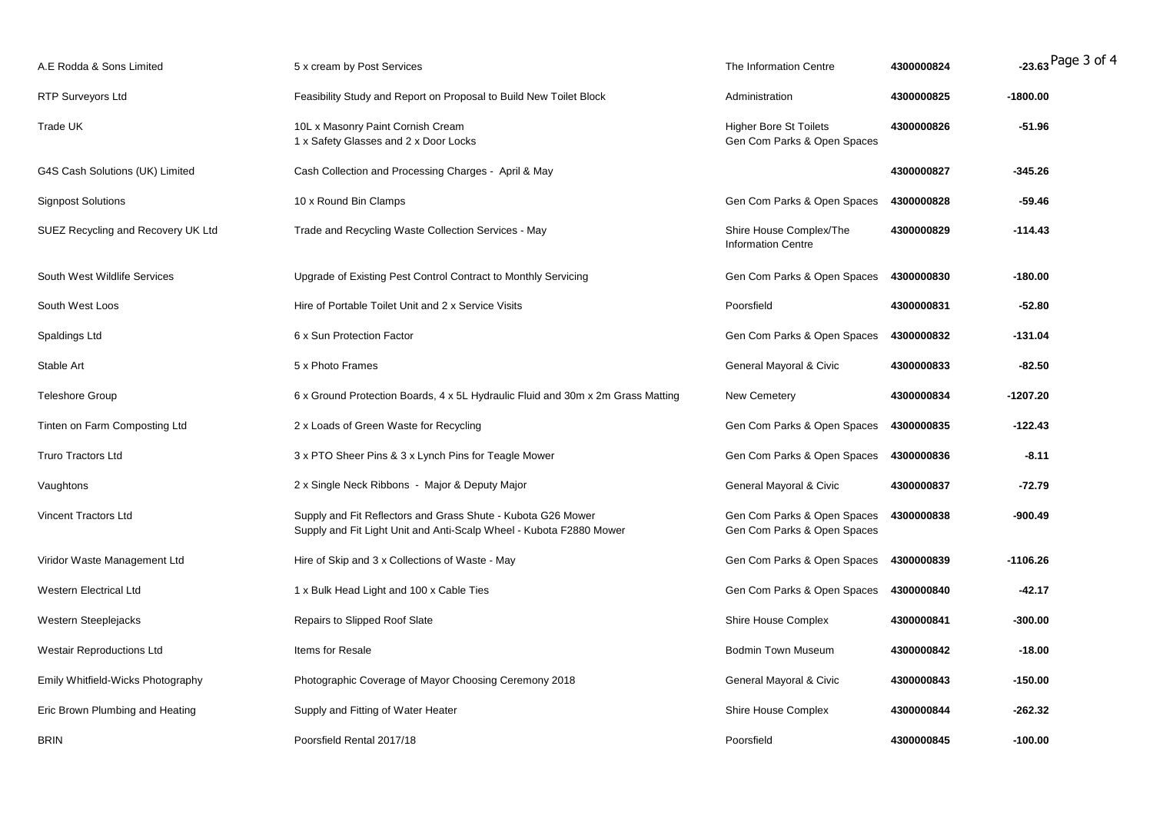| A.E Rodda & Sons Limited           | 5 x cream by Post Services                                                                                                          | The Information Centre                                       | 4300000824 | -23.63 Page 3 of 4 |
|------------------------------------|-------------------------------------------------------------------------------------------------------------------------------------|--------------------------------------------------------------|------------|--------------------|
| <b>RTP Surveyors Ltd</b>           | Feasibility Study and Report on Proposal to Build New Toilet Block                                                                  | Administration                                               | 4300000825 | -1800.00           |
| Trade UK                           | 10L x Masonry Paint Cornish Cream<br>1 x Safety Glasses and 2 x Door Locks                                                          | <b>Higher Bore St Toilets</b><br>Gen Com Parks & Open Spaces | 4300000826 | $-51.96$           |
| G4S Cash Solutions (UK) Limited    | Cash Collection and Processing Charges - April & May                                                                                |                                                              | 4300000827 | $-345.26$          |
| <b>Signpost Solutions</b>          | 10 x Round Bin Clamps                                                                                                               | Gen Com Parks & Open Spaces                                  | 4300000828 | $-59.46$           |
| SUEZ Recycling and Recovery UK Ltd | Trade and Recycling Waste Collection Services - May                                                                                 | Shire House Complex/The<br><b>Information Centre</b>         | 4300000829 | $-114.43$          |
| South West Wildlife Services       | Upgrade of Existing Pest Control Contract to Monthly Servicing                                                                      | Gen Com Parks & Open Spaces                                  | 4300000830 | $-180.00$          |
| South West Loos                    | Hire of Portable Toilet Unit and 2 x Service Visits                                                                                 | Poorsfield                                                   | 4300000831 | $-52.80$           |
| Spaldings Ltd                      | 6 x Sun Protection Factor                                                                                                           | Gen Com Parks & Open Spaces                                  | 4300000832 | $-131.04$          |
| Stable Art                         | 5 x Photo Frames                                                                                                                    | General Mayoral & Civic                                      | 4300000833 | $-82.50$           |
| <b>Teleshore Group</b>             | 6 x Ground Protection Boards, 4 x 5L Hydraulic Fluid and 30m x 2m Grass Matting                                                     | New Cemetery                                                 | 4300000834 | $-1207.20$         |
| Tinten on Farm Composting Ltd      | 2 x Loads of Green Waste for Recycling                                                                                              | Gen Com Parks & Open Spaces                                  | 4300000835 | $-122.43$          |
| <b>Truro Tractors Ltd</b>          | 3 x PTO Sheer Pins & 3 x Lynch Pins for Teagle Mower                                                                                | Gen Com Parks & Open Spaces 4300000836                       |            | $-8.11$            |
| Vaughtons                          | 2 x Single Neck Ribbons - Major & Deputy Major                                                                                      | General Mayoral & Civic                                      | 4300000837 | $-72.79$           |
| <b>Vincent Tractors Ltd</b>        | Supply and Fit Reflectors and Grass Shute - Kubota G26 Mower<br>Supply and Fit Light Unit and Anti-Scalp Wheel - Kubota F2880 Mower | Gen Com Parks & Open Spaces<br>Gen Com Parks & Open Spaces   | 4300000838 | $-900.49$          |
| Viridor Waste Management Ltd       | Hire of Skip and 3 x Collections of Waste - May                                                                                     | Gen Com Parks & Open Spaces                                  | 4300000839 | $-1106.26$         |
| <b>Western Electrical Ltd</b>      | 1 x Bulk Head Light and 100 x Cable Ties                                                                                            | Gen Com Parks & Open Spaces                                  | 4300000840 | $-42.17$           |
| Western Steeplejacks               | Repairs to Slipped Roof Slate                                                                                                       | Shire House Complex                                          | 4300000841 | $-300.00$          |
| <b>Westair Reproductions Ltd</b>   | Items for Resale                                                                                                                    | <b>Bodmin Town Museum</b>                                    | 4300000842 | $-18.00$           |
| Emily Whitfield-Wicks Photography  | Photographic Coverage of Mayor Choosing Ceremony 2018                                                                               | General Mayoral & Civic                                      | 4300000843 | $-150.00$          |
| Eric Brown Plumbing and Heating    | Supply and Fitting of Water Heater                                                                                                  | Shire House Complex                                          | 4300000844 | $-262.32$          |
| <b>BRIN</b>                        | Poorsfield Rental 2017/18                                                                                                           | Poorsfield                                                   | 4300000845 | $-100.00$          |